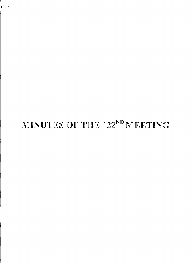# MINUTES OF THE 122ND MEETING

**Karl**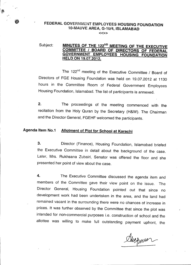## FEDERAL GOVERNMENT EMPLOYEES HOUSING FOUNDATION 10-MAUVE AREA, G-10/4, ISLAMABAD «»

## Subject: MINUTES OF THE 122<sup>ND</sup> MEETING OF THE EXECUTIVE COMMITTEE / BOARD OF DIRECTORS OF FEDERAL GOVERNMENT EMPLOYEES HOUSING FOUNDATION HELD ON 19.07.2012.

The 122<sup>nd</sup> meeting of the Executive Committee / Board of Directors of FGE Housing Foundation was held on 19.07.2012 at 1130 hours in the Committee Room of Federal Government Employees Housing Foundation, Islamabad.The list of participants is annexed.

2. The proceedings of the meeting commenced with the recitation from the Holy Quran by the Secretary (H&W). The Chairman and the Director General, FGEHF welcomed the participants.

# Agenda Item No.1 Allotment of Plot for School at Karachi

3. Director (Finance), Housing Foundation, Islamabad briefed the Executive Committee in detail about the background of the case. Later, Mrs. Rukhsana Zubairi, Senator was offered the floor and she presented her point of view about the case.

4. The Executive Committee discussed the agenda item and members of the Committee gave their view point on the issue. The Director General, Housing Foundation pointed out that since no development work had been undertaken in the area, and the land had remained vacant in the surrounding there were no chances of increase in prices. It was further observed by the Committee that since the plot was intended for non-commercial purposes i.e. construction of school and the allottee was willing to make full outstanding payment upfront, the

Alesponn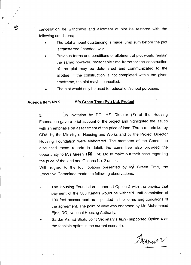cancellation be withdrawn and allotment of plot be restored with the following conditions;

- The total amount outstanding is made lump sum before the plot is transferred / handed over
- o Previous terms and conditions of allotment of plot would remain the same; however, reasonable time frame for the construction of the plot may be determined and communicated to the allottee. If the construction is not completed within the given timeframe, the plot maybe cancelled.
- The plot would only be used for education/school purposes.

#### Agenda Item NO.2 *Mis* Green Tree (Pvt) Ltd. Project

*,I* / *I* ,

> 5. On invitation by DG, HF, Director (F) of the Housing Foundation gave a brief account of the project and highlighted the issues with an emphasis on assessment of the price of land. Three reports i.e. by CDA, by the Ministry of Housing and Works and by the Project Director Housing Foundation were elaborated. The members of the Committee discussed these reports in detail; the committee also provided the opportunity to M/s Green T& (Pvt) Ltd to make out their case regarding the price of the land and Options No.2 and 4.

> With regard to the four options presented by  $M/s$  Green Tree, the Executive Committee made the following observations:

- The Housing Foundation supported Option 2 with the proviso that payment of the 500 Kanals would be withheld until completion of 100 feet access road as stipulated in the terms and conditions of the agreement. The point of view was endorsed by Mr. Muhammad Ejaz, DG, National Housing Authority.
- Sardar Azmat Shafi, Joint Secretary (H&W) supported Option 4 as the feasible option in the current scenario.

Duapur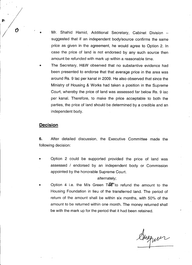- Mr. Shahid Hamid, Additional Secretary, Cabinet Division suggested that if an independent body/source confirms the same price as given in the agreement, he would agree to Option 2. In case the price of land is not endorsed by any such source then amount be refunded with mark up within a reasonable time.
- o The Secretary, H&W observed that no substantive evidence had been presented to endorse that that average price in the area was around Rs. 9 lac per kanal in 2009. He also observed that since the Ministry of Housing & Works had taken a position in the Supreme Court, whereby the price of land was assessed far below Rs. 9 lac per kana!. Therefore, to make the price acceptable to both the parties, the price of land should be determined by a credible and an independent body.

### **Decision**

o

6. After detailed discussion, the Executive Committee made the following decision:

Option 2 could be supported provided the price of land was assessed / endorsed by an independent body or Commission appointed by the honorable Supreme Court.

#### alternately;

Option 4 i.e. the M/s Green Tea<sup>t</sup> to refund the amount to the Housing Foundation in lieu of the transferred land. The period of return of the amount shall be within six months, with 50% of the amount to be returned within one month. The money returned shall be with the mark up for the period that it had been retained.

Auguser

t)